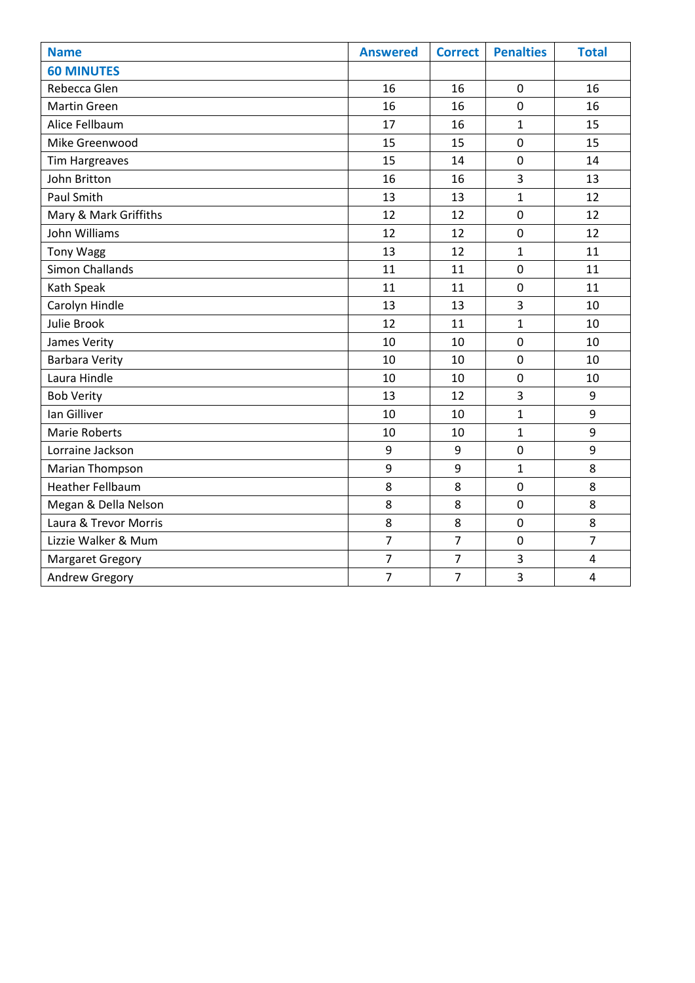| <b>Name</b>             | <b>Answered</b> | <b>Correct</b> | <b>Penalties</b> | <b>Total</b>   |
|-------------------------|-----------------|----------------|------------------|----------------|
| <b>60 MINUTES</b>       |                 |                |                  |                |
| Rebecca Glen            | 16              | 16             | $\mathbf 0$      | 16             |
| <b>Martin Green</b>     | 16              | 16             | $\overline{0}$   | 16             |
| Alice Fellbaum          | 17              | 16             | 1                | 15             |
| Mike Greenwood          | 15              | 15             | $\mathbf 0$      | 15             |
| <b>Tim Hargreaves</b>   | 15              | 14             | $\mathbf 0$      | 14             |
| John Britton            | 16              | 16             | 3                | 13             |
| Paul Smith              | 13              | 13             | $\mathbf{1}$     | 12             |
| Mary & Mark Griffiths   | 12              | 12             | $\mathbf 0$      | 12             |
| John Williams           | 12              | 12             | $\mathbf 0$      | 12             |
| <b>Tony Wagg</b>        | 13              | 12             | $\mathbf{1}$     | 11             |
| <b>Simon Challands</b>  | 11              | 11             | $\overline{0}$   | 11             |
| Kath Speak              | 11              | 11             | $\mathbf 0$      | 11             |
| Carolyn Hindle          | 13              | 13             | 3                | 10             |
| Julie Brook             | 12              | 11             | $\mathbf{1}$     | 10             |
| James Verity            | 10              | 10             | $\mathbf 0$      | 10             |
| <b>Barbara Verity</b>   | 10              | $10\,$         | $\mathbf 0$      | 10             |
| Laura Hindle            | 10              | 10             | $\pmb{0}$        | 10             |
| <b>Bob Verity</b>       | 13              | 12             | 3                | 9              |
| Ian Gilliver            | 10              | 10             | $\mathbf{1}$     | 9              |
| <b>Marie Roberts</b>    | 10              | 10             | $\mathbf{1}$     | 9              |
| Lorraine Jackson        | 9               | 9              | $\mathbf 0$      | 9              |
| Marian Thompson         | 9               | 9              | $\mathbf{1}$     | 8              |
| <b>Heather Fellbaum</b> | 8               | 8              | $\mathbf 0$      | 8              |
| Megan & Della Nelson    | 8               | 8              | $\mathbf 0$      | 8              |
| Laura & Trevor Morris   | 8               | 8              | $\mathbf 0$      | 8              |
| Lizzie Walker & Mum     | $\overline{7}$  | $\overline{7}$ | $\mathbf 0$      | $\overline{7}$ |
| Margaret Gregory        | $\overline{7}$  | $\overline{7}$ | 3                | $\overline{4}$ |
| Andrew Gregory          | $\overline{7}$  | $\overline{7}$ | 3                | $\overline{4}$ |